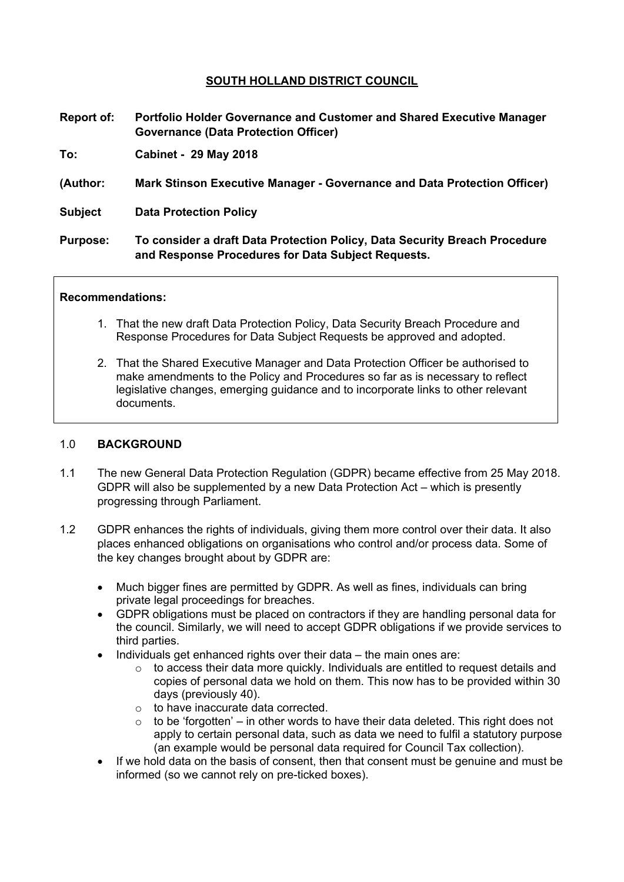# **SOUTH HOLLAND DISTRICT COUNCIL**

**Report of: Portfolio Holder Governance and Customer and Shared Executive Manager Governance (Data Protection Officer)**

**To: Cabinet - 29 May 2018**

- **(Author: Mark Stinson Executive Manager - Governance and Data Protection Officer)**
- **Subject Data Protection Policy**

**Purpose: To consider a draft Data Protection Policy, Data Security Breach Procedure and Response Procedures for Data Subject Requests.**

#### **Recommendations:**

- 1. That the new draft Data Protection Policy, Data Security Breach Procedure and Response Procedures for Data Subject Requests be approved and adopted.
- 2. That the Shared Executive Manager and Data Protection Officer be authorised to make amendments to the Policy and Procedures so far as is necessary to reflect legislative changes, emerging guidance and to incorporate links to other relevant documents.

#### 1.0 **BACKGROUND**

- 1.1 The new General Data Protection Regulation (GDPR) became effective from 25 May 2018. GDPR will also be supplemented by a new Data Protection Act – which is presently progressing through Parliament.
- 1.2 GDPR enhances the rights of individuals, giving them more control over their data. It also places enhanced obligations on organisations who control and/or process data. Some of the key changes brought about by GDPR are:
	- Much bigger fines are permitted by GDPR. As well as fines, individuals can bring private legal proceedings for breaches.
	- GDPR obligations must be placed on contractors if they are handling personal data for the council. Similarly, we will need to accept GDPR obligations if we provide services to third parties.
	- Individuals get enhanced rights over their data the main ones are:
		- $\circ$  to access their data more quickly. Individuals are entitled to request details and copies of personal data we hold on them. This now has to be provided within 30 days (previously 40).
		- o to have inaccurate data corrected.
		- $\circ$  to be 'forgotten' in other words to have their data deleted. This right does not apply to certain personal data, such as data we need to fulfil a statutory purpose (an example would be personal data required for Council Tax collection).
	- If we hold data on the basis of consent, then that consent must be genuine and must be informed (so we cannot rely on pre-ticked boxes).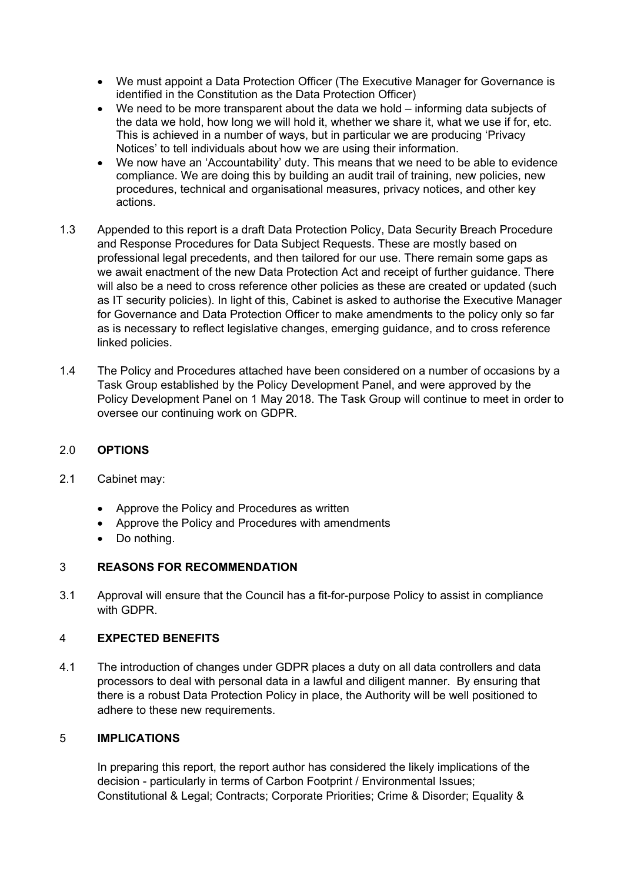- We must appoint a Data Protection Officer (The Executive Manager for Governance is identified in the Constitution as the Data Protection Officer)
- We need to be more transparent about the data we hold informing data subjects of the data we hold, how long we will hold it, whether we share it, what we use if for, etc. This is achieved in a number of ways, but in particular we are producing 'Privacy Notices' to tell individuals about how we are using their information.
- We now have an 'Accountability' duty. This means that we need to be able to evidence compliance. We are doing this by building an audit trail of training, new policies, new procedures, technical and organisational measures, privacy notices, and other key actions.
- 1.3 Appended to this report is a draft Data Protection Policy, Data Security Breach Procedure and Response Procedures for Data Subject Requests. These are mostly based on professional legal precedents, and then tailored for our use. There remain some gaps as we await enactment of the new Data Protection Act and receipt of further guidance. There will also be a need to cross reference other policies as these are created or updated (such as IT security policies). In light of this, Cabinet is asked to authorise the Executive Manager for Governance and Data Protection Officer to make amendments to the policy only so far as is necessary to reflect legislative changes, emerging guidance, and to cross reference linked policies.
- 1.4 The Policy and Procedures attached have been considered on a number of occasions by a Task Group established by the Policy Development Panel, and were approved by the Policy Development Panel on 1 May 2018. The Task Group will continue to meet in order to oversee our continuing work on GDPR.

### 2.0 **OPTIONS**

- 2.1 Cabinet may:
	- Approve the Policy and Procedures as written
	- Approve the Policy and Procedures with amendments
	- Do nothing.

### 3 **REASONS FOR RECOMMENDATION**

3.1 Approval will ensure that the Council has a fit-for-purpose Policy to assist in compliance with GDPR.

### 4 **EXPECTED BENEFITS**

4.1 The introduction of changes under GDPR places a duty on all data controllers and data processors to deal with personal data in a lawful and diligent manner. By ensuring that there is a robust Data Protection Policy in place, the Authority will be well positioned to adhere to these new requirements.

## 5 **IMPLICATIONS**

In preparing this report, the report author has considered the likely implications of the decision - particularly in terms of Carbon Footprint / Environmental Issues; Constitutional & Legal; Contracts; Corporate Priorities; Crime & Disorder; Equality &